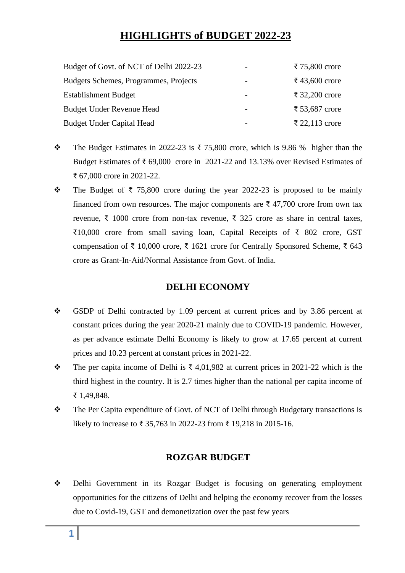# **HIGHLIGHTS of BUDGET 2022-23**

| Budget of Govt. of NCT of Delhi 2022-23 |                          | ₹ 75,800 crore |
|-----------------------------------------|--------------------------|----------------|
| Budgets Schemes, Programmes, Projects   | $\overline{\phantom{a}}$ | ₹ 43,600 crore |
| <b>Establishment Budget</b>             |                          | ₹ 32,200 crore |
| Budget Under Revenue Head               |                          | ₹ 53,687 crore |
| <b>Budget Under Capital Head</b>        | $\overline{\phantom{0}}$ | ₹ 22,113 crore |

- ❖ The Budget Estimates in 2022-23 is ₹ 75,800 crore, which is 9.86 % higher than the Budget Estimates of  $\overline{\xi}$  69,000 crore in 2021-22 and 13.13% over Revised Estimates of ₹ 67,000 crore in 2021-22.
- ❖ The Budget of ₹ 75,800 crore during the year 2022-23 is proposed to be mainly financed from own resources. The major components are  $\bar{\tau}$  47,700 crore from own tax revenue, ₹ 1000 crore from non-tax revenue, ₹ 325 crore as share in central taxes, ₹10,000 crore from small saving loan, Capital Receipts of ₹ 802 crore, GST compensation of ₹ 10,000 crore, ₹ 1621 crore for Centrally Sponsored Scheme, ₹ 643 crore as Grant-In-Aid/Normal Assistance from Govt. of India.

## **DELHI ECONOMY**

- ❖ GSDP of Delhi contracted by 1.09 percent at current prices and by 3.86 percent at constant prices during the year 2020-21 mainly due to COVID-19 pandemic. However, as per advance estimate Delhi Economy is likely to grow at 17.65 percent at current prices and 10.23 percent at constant prices in 2021-22.
- ❖ The per capita income of Delhi is ₹ 4,01,982 at current prices in 2021-22 which is the third highest in the country. It is 2.7 times higher than the national per capita income of ₹ 1,49,848.
- ❖ The Per Capita expenditure of Govt. of NCT of Delhi through Budgetary transactions is likely to increase to ₹ 35,763 in 2022-23 from ₹ 19,218 in 2015-16.

## **ROZGAR BUDGET**

❖ Delhi Government in its Rozgar Budget is focusing on generating employment opportunities for the citizens of Delhi and helping the economy recover from the losses due to Covid-19, GST and demonetization over the past few years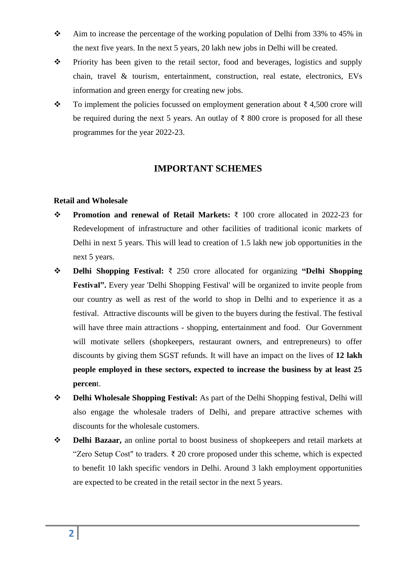- ❖ Aim to increase the percentage of the working population of Delhi from 33% to 45% in the next five years. In the next 5 years, 20 lakh new jobs in Delhi will be created.
- ❖ Priority has been given to the retail sector, food and beverages, logistics and supply chain, travel & tourism, entertainment, construction, real estate, electronics, EVs information and green energy for creating new jobs.
- $\cdot \cdot \cdot$  To implement the policies focussed on employment generation about ₹ 4,500 crore will be required during the next 5 years. An outlay of  $\bar{\tau}$  800 crore is proposed for all these programmes for the year 2022-23.

### **IMPORTANT SCHEMES**

#### **Retail and Wholesale**

- ❖ **Promotion and renewal of Retail Markets:** ₹ 100 crore allocated in 2022-23 for Redevelopment of infrastructure and other facilities of traditional iconic markets of Delhi in next 5 years. This will lead to creation of 1.5 lakh new job opportunities in the next 5 years.
- ❖ **Delhi Shopping Festival:** ₹ 250 crore allocated for organizing **"Delhi Shopping Festival".** Every year 'Delhi Shopping Festival' will be organized to invite people from our country as well as rest of the world to shop in Delhi and to experience it as a festival. Attractive discounts will be given to the buyers during the festival. The festival will have three main attractions - shopping, entertainment and food. Our Government will motivate sellers (shopkeepers, restaurant owners, and entrepreneurs) to offer discounts by giving them SGST refunds. It will have an impact on the lives of **12 lakh people employed in these sectors, expected to increase the business by at least 25 percen**t.
- ❖ **Delhi Wholesale Shopping Festival:** As part of the Delhi Shopping festival, Delhi will also engage the wholesale traders of Delhi, and prepare attractive schemes with discounts for the wholesale customers.
- ❖ **Delhi Bazaar,** an online portal to boost business of shopkeepers and retail markets at "Zero Setup Cost" to traders.  $\bar{\tau}$  20 crore proposed under this scheme, which is expected to benefit 10 lakh specific vendors in Delhi. Around 3 lakh employment opportunities are expected to be created in the retail sector in the next 5 years.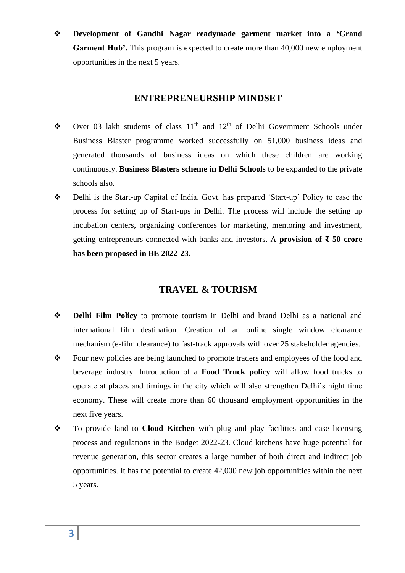❖ **Development of Gandhi Nagar readymade garment market into a 'Grand Garment Hub'.** This program is expected to create more than 40,000 new employment opportunities in the next 5 years.

### **ENTREPRENEURSHIP MINDSET**

- ◆ Over 03 lakh students of class  $11<sup>th</sup>$  and  $12<sup>th</sup>$  of Delhi Government Schools under Business Blaster programme worked successfully on 51,000 business ideas and generated thousands of business ideas on which these children are working continuously. **Business Blasters scheme in Delhi Schools** to be expanded to the private schools also.
- ❖ Delhi is the Start-up Capital of India. Govt. has prepared 'Start-up' Policy to ease the process for setting up of Start-ups in Delhi. The process will include the setting up incubation centers, organizing conferences for marketing, mentoring and investment, getting entrepreneurs connected with banks and investors. A **provision of ₹ 50 crore has been proposed in BE 2022-23.**

## **TRAVEL & TOURISM**

- ❖ **Delhi Film Policy** to promote tourism in Delhi and brand Delhi as a national and international film destination. Creation of an online single window clearance mechanism (e-film clearance) to fast-track approvals with over 25 stakeholder agencies.
- ❖ Four new policies are being launched to promote traders and employees of the food and beverage industry. Introduction of a **Food Truck policy** will allow food trucks to operate at places and timings in the city which will also strengthen Delhi's night time economy. These will create more than 60 thousand employment opportunities in the next five years.
- ❖ To provide land to **Cloud Kitchen** with plug and play facilities and ease licensing process and regulations in the Budget 2022-23. Cloud kitchens have huge potential for revenue generation, this sector creates a large number of both direct and indirect job opportunities. It has the potential to create 42,000 new job opportunities within the next 5 years.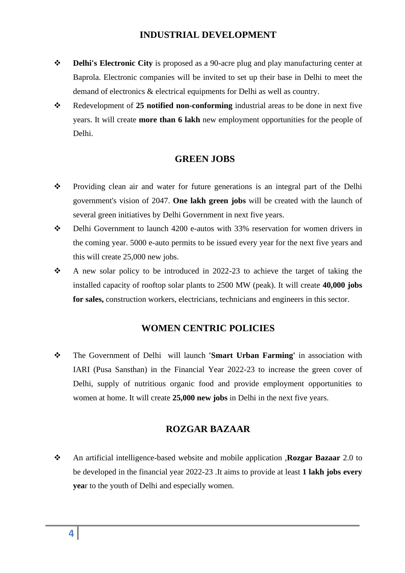## **INDUSTRIAL DEVELOPMENT**

- ❖ **Delhi's Electronic City** is proposed as a 90-acre plug and play manufacturing center at Baprola. Electronic companies will be invited to set up their base in Delhi to meet the demand of electronics & electrical equipments for Delhi as well as country.
- ❖ Redevelopment of **25 notified non-conforming** industrial areas to be done in next five years. It will create **more than 6 lakh** new employment opportunities for the people of Delhi.

### **GREEN JOBS**

- ❖ Providing clean air and water for future generations is an integral part of the Delhi government's vision of 2047. **One lakh green jobs** will be created with the launch of several green initiatives by Delhi Government in next five years.
- ❖ Delhi Government to launch 4200 e-autos with 33% reservation for women drivers in the coming year. 5000 e-auto permits to be issued every year for the next five years and this will create 25,000 new jobs.
- ❖ A new solar policy to be introduced in 2022-23 to achieve the target of taking the installed capacity of rooftop solar plants to 2500 MW (peak). It will create **40,000 jobs for sales,** construction workers, electricians, technicians and engineers in this sector.

#### **WOMEN CENTRIC POLICIES**

❖ The Government of Delhi will launch **'Smart Urban Farming'** in association with IARI (Pusa Sansthan) in the Financial Year 2022-23 to increase the green cover of Delhi, supply of nutritious organic food and provide employment opportunities to women at home. It will create **25,000 new jobs** in Delhi in the next five years.

### **ROZGAR BAZAAR**

❖ An artificial intelligence-based website and mobile application ,**Rozgar Bazaar** 2.0 to be developed in the financial year 2022-23 .It aims to provide at least **1 lakh jobs every yea**r to the youth of Delhi and especially women.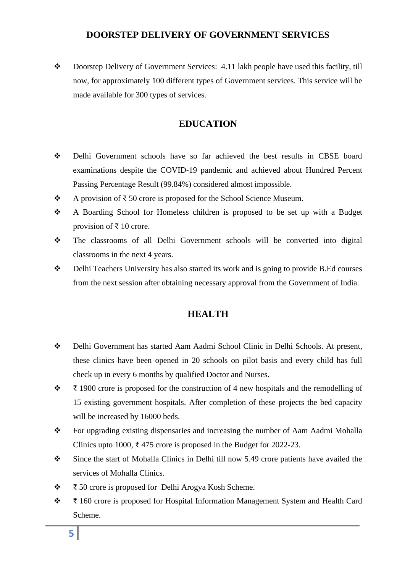## **DOORSTEP DELIVERY OF GOVERNMENT SERVICES**

❖ Doorstep Delivery of Government Services: 4.11 lakh people have used this facility, till now, for approximately 100 different types of Government services. This service will be made available for 300 types of services.

## **EDUCATION**

- ❖ Delhi Government schools have so far achieved the best results in CBSE board examinations despite the COVID-19 pandemic and achieved about Hundred Percent Passing Percentage Result (99.84%) considered almost impossible.
- ❖ A provision of ₹ 50 crore is proposed for the School Science Museum.
- ❖ A Boarding School for Homeless children is proposed to be set up with a Budget provision of ₹ 10 crore.
- ❖ The classrooms of all Delhi Government schools will be converted into digital classrooms in the next 4 years.
- ❖ Delhi Teachers University has also started its work and is going to provide B.Ed courses from the next session after obtaining necessary approval from the Government of India.

## **HEALTH**

- ❖ Delhi Government has started Aam Aadmi School Clinic in Delhi Schools. At present, these clinics have been opened in 20 schools on pilot basis and every child has full check up in every 6 months by qualified Doctor and Nurses.
- ❖ ₹ 1900 crore is proposed for the construction of 4 new hospitals and the remodelling of 15 existing government hospitals. After completion of these projects the bed capacity will be increased by 16000 beds.
- ❖ For upgrading existing dispensaries and increasing the number of Aam Aadmi Mohalla Clinics upto 1000, ₹475 crore is proposed in the Budget for 2022-23.
- ❖ Since the start of Mohalla Clinics in Delhi till now 5.49 crore patients have availed the services of Mohalla Clinics.
- ❖ ₹ 50 crore is proposed for Delhi Arogya Kosh Scheme.
- ❖ ₹ 160 crore is proposed for Hospital Information Management System and Health Card Scheme.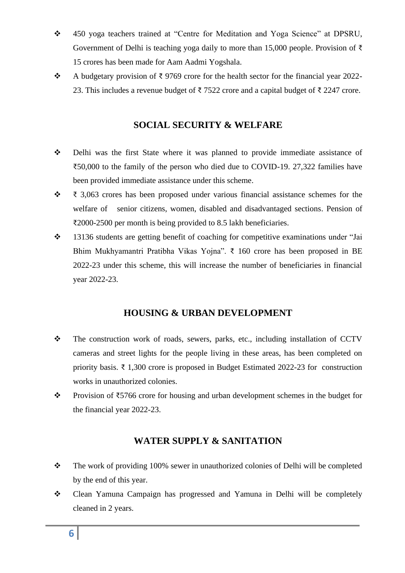- ❖ 450 yoga teachers trained at "Centre for Meditation and Yoga Science" at DPSRU, Government of Delhi is teaching yoga daily to more than 15,000 people. Provision of ₹ 15 crores has been made for Aam Aadmi Yogshala.
- ❖ A budgetary provision of ₹ 9769 crore for the health sector for the financial year 2022- 23. This includes a revenue budget of ₹7522 crore and a capital budget of ₹2247 crore.

## **SOCIAL SECURITY & WELFARE**

- ❖ Delhi was the first State where it was planned to provide immediate assistance of ₹50,000 to the family of the person who died due to COVID-19. 27,322 families have been provided immediate assistance under this scheme.
- ❖ ₹ 3,063 crores has been proposed under various financial assistance schemes for the welfare of senior citizens, women, disabled and disadvantaged sections. Pension of ₹2000-2500 per month is being provided to 8.5 lakh beneficiaries.
- ❖ 13136 students are getting benefit of coaching for competitive examinations under "Jai Bhim Mukhyamantri Pratibha Vikas Yojna". ₹ 160 crore has been proposed in BE 2022-23 under this scheme, this will increase the number of beneficiaries in financial year 2022-23.

## **HOUSING & URBAN DEVELOPMENT**

- ❖ The construction work of roads, sewers, parks, etc., including installation of CCTV cameras and street lights for the people living in these areas, has been completed on priority basis. ₹ 1,300 crore is proposed in Budget Estimated 2022-23 for construction works in unauthorized colonies.
- ❖ Provision of ₹5766 crore for housing and urban development schemes in the budget for the financial year 2022-23.

## **WATER SUPPLY & SANITATION**

- ❖ The work of providing 100% sewer in unauthorized colonies of Delhi will be completed by the end of this year.
- ❖ Clean Yamuna Campaign has progressed and Yamuna in Delhi will be completely cleaned in 2 years.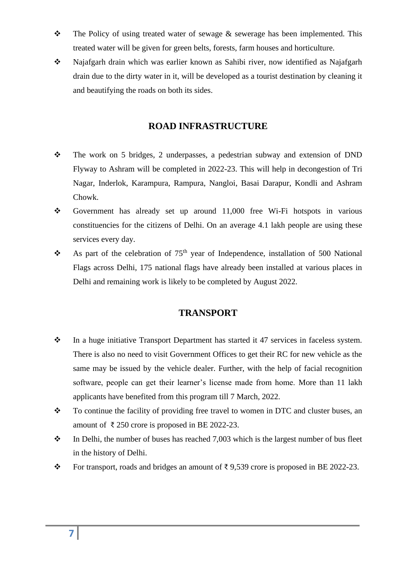- ❖ The Policy of using treated water of sewage & sewerage has been implemented. This treated water will be given for green belts, forests, farm houses and horticulture.
- ❖ Najafgarh drain which was earlier known as Sahibi river, now identified as Najafgarh drain due to the dirty water in it, will be developed as a tourist destination by cleaning it and beautifying the roads on both its sides.

### **ROAD INFRASTRUCTURE**

- ❖ The work on 5 bridges, 2 underpasses, a pedestrian subway and extension of DND Flyway to Ashram will be completed in 2022-23. This will help in decongestion of Tri Nagar, Inderlok, Karampura, Rampura, Nangloi, Basai Darapur, Kondli and Ashram Chowk.
- ❖ Government has already set up around 11,000 free Wi-Fi hotspots in various constituencies for the citizens of Delhi. On an average 4.1 lakh people are using these services every day.
- $\triangle$  As part of the celebration of 75<sup>th</sup> year of Independence, installation of 500 National Flags across Delhi, 175 national flags have already been installed at various places in Delhi and remaining work is likely to be completed by August 2022.

## **TRANSPORT**

- ❖ In a huge initiative Transport Department has started it 47 services in faceless system. There is also no need to visit Government Offices to get their RC for new vehicle as the same may be issued by the vehicle dealer. Further, with the help of facial recognition software, people can get their learner's license made from home. More than 11 lakh applicants have benefited from this program till 7 March, 2022.
- ❖ To continue the facility of providing free travel to women in DTC and cluster buses, an amount of ₹250 crore is proposed in BE 2022-23.
- ❖ In Delhi, the number of buses has reached 7,003 which is the largest number of bus fleet in the history of Delhi.
- ❖ For transport, roads and bridges an amount of ₹ 9,539 crore is proposed in BE 2022-23.